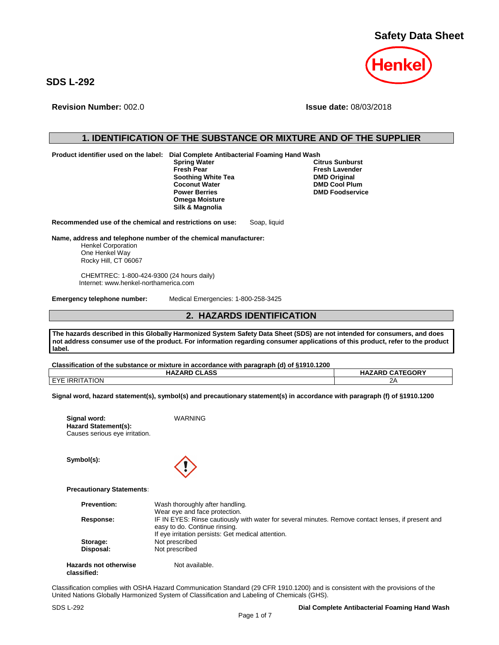**Safety Data Sheet**



**SDS L-292**

**Revision Number:** 002.0 **Issue date:** 08/03/2018

# **1. IDENTIFICATION OF THE SUBSTANCE OR MIXTURE AND OF THE SUPPLIER**

**Product identifier used on the label: Dial Complete Antibacterial Foaming Hand Wash** 

**Soothing White Tea<br>Coconut Water Coconut Water DMD Cool Plum**<br> **Power Berries DMD Foodservice Omega Moisture Silk & Magnolia**

**Spring Water Citrus Sunburst Fresh Lavender**<br>**DMD Original PMD Foodservice** 

**Recommended use of the chemical and restrictions on use:** Soap, liquid

**Name, address and telephone number of the chemical manufacturer:**

Henkel Corporation One Henkel Way Rocky Hill, CT 06067

CHEMTREC: 1-800-424-9300 (24 hours daily) Internet: www.henkel-northamerica.com

**Emergency telephone number:** Medical Emergencies: 1-800-258-3425

## **2. HAZARDS IDENTIFICATION**

**The hazards described in this Globally Harmonized System Safety Data Sheet (SDS) are not intended for consumers, and does not address consumer use of the product. For information regarding consumer applications of this product, refer to the product label.**

**HAZARD CLASS HAZARD CATEGORY**

**Classification of the substance or mixture in accordance with paragraph (d) of §1910.1200**

**Signal word:** WARNING

| <b>EYE IRRITATION</b> | າ∧ |
|-----------------------|----|

**Signal word, hazard statement(s), symbol(s) and precautionary statement(s) in accordance with paragraph (f) of §1910.1200**

| Signal word:                   |  |
|--------------------------------|--|
| <b>Hazard Statement(s):</b>    |  |
| Causes serious eye irritation. |  |

**Symbol(s):**

### **Precautionary Statements:**

| <b>Prevention:</b>           | Wash thoroughly after handling.                                                                    |
|------------------------------|----------------------------------------------------------------------------------------------------|
|                              | Wear eye and face protection.                                                                      |
| Response:                    | IF IN EYES: Rinse cautiously with water for several minutes. Remove contact lenses, if present and |
|                              | easy to do. Continue rinsing.                                                                      |
|                              | If eye irritation persists: Get medical attention.                                                 |
| Storage:                     | Not prescribed                                                                                     |
| Disposal:                    | Not prescribed                                                                                     |
| <b>Hazards not otherwise</b> | Not available.                                                                                     |

|  | classified: |  |
|--|-------------|--|
|  |             |  |

Classification complies with OSHA Hazard Communication Standard (29 CFR 1910.1200) and is consistent with the provisions of the United Nations Globally Harmonized System of Classification and Labeling of Chemicals (GHS).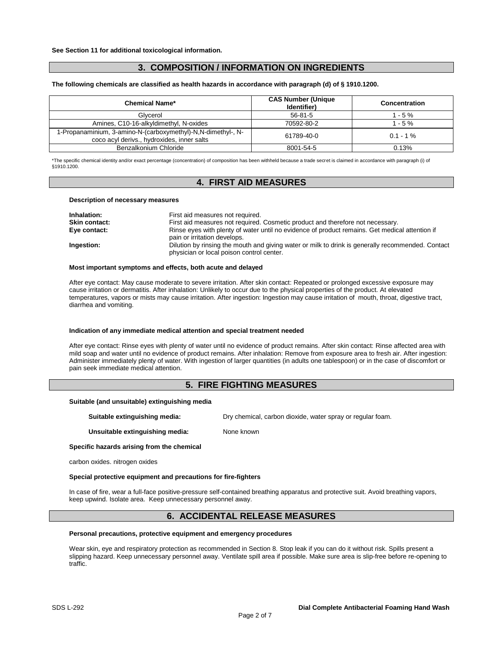# **3. COMPOSITION / INFORMATION ON INGREDIENTS**

**The following chemicals are classified as health hazards in accordance with paragraph (d) of § 1910.1200.**

| <b>Chemical Name*</b>                                                                                      | <b>CAS Number (Unique</b><br>Identifier) | Concentration |
|------------------------------------------------------------------------------------------------------------|------------------------------------------|---------------|
| Glycerol                                                                                                   | $56 - 81 - 5$                            | $1 - 5 \%$    |
| Amines, C10-16-alkyldimethyl, N-oxides                                                                     | 70592-80-2                               | $1 - 5 \%$    |
| 1-Propanaminium, 3-amino-N-(carboxymethyl)-N,N-dimethyl-, N-<br>coco acyl derivs., hydroxides, inner salts | 61789-40-0                               | $0.1 - 1\%$   |
| Benzalkonium Chloride                                                                                      | 8001-54-5                                | 0.13%         |

\*The specific chemical identity and/or exact percentage (concentration) of composition has been withheld because a trade secret is claimed in accordance with paragraph (i) of §1910.1200.

## **4. FIRST AID MEASURES**

#### **Description of necessary measures**

| Inhalation:          | First aid measures not required.                                                                                                               |
|----------------------|------------------------------------------------------------------------------------------------------------------------------------------------|
| <b>Skin contact:</b> | First aid measures not required. Cosmetic product and therefore not necessary.                                                                 |
| Eye contact:         | Rinse eyes with plenty of water until no evidence of product remains. Get medical attention if<br>pain or irritation develops.                 |
| Ingestion:           | Dilution by rinsing the mouth and giving water or milk to drink is generally recommended. Contact<br>physician or local poison control center. |

#### **Most important symptoms and effects, both acute and delayed**

After eye contact: May cause moderate to severe irritation. After skin contact: Repeated or prolonged excessive exposure may cause irritation or dermatitis. After inhalation: Unlikely to occur due to the physical properties of the product. At elevated temperatures, vapors or mists may cause irritation. After ingestion: Ingestion may cause irritation of mouth, throat, digestive tract, diarrhea and vomiting.

#### **Indication of any immediate medical attention and special treatment needed**

After eye contact: Rinse eyes with plenty of water until no evidence of product remains. After skin contact: Rinse affected area with mild soap and water until no evidence of product remains. After inhalation: Remove from exposure area to fresh air. After ingestion: Administer immediately plenty of water. With ingestion of larger quantities (in adults one tablespoon) or in the case of discomfort or pain seek immediate medical attention.

## **5. FIRE FIGHTING MEASURES**

### **Suitable (and unsuitable) extinguishing media**

**Suitable extinguishing media:** Dry chemical, carbon dioxide, water spray or regular foam.

**Unsuitable extinguishing media:** None known

**Specific hazards arising from the chemical**

carbon oxides. nitrogen oxides

**Special protective equipment and precautions for fire-fighters**

In case of fire, wear a full-face positive-pressure self-contained breathing apparatus and protective suit. Avoid breathing vapors, keep upwind. Isolate area. Keep unnecessary personnel away.

## **6. ACCIDENTAL RELEASE MEASURES**

### **Personal precautions, protective equipment and emergency procedures**

Wear skin, eye and respiratory protection as recommended in Section 8. Stop leak if you can do it without risk. Spills present a slipping hazard. Keep unnecessary personnel away. Ventilate spill area if possible. Make sure area is slip-free before re-opening to traffic.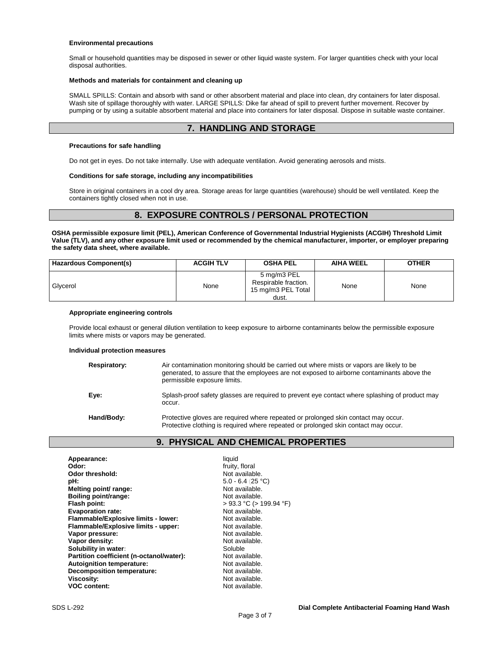### **Environmental precautions**

Small or household quantities may be disposed in sewer or other liquid waste system. For larger quantities check with your local disposal authorities.

### **Methods and materials for containment and cleaning up**

SMALL SPILLS: Contain and absorb with sand or other absorbent material and place into clean, dry containers for later disposal. Wash site of spillage thoroughly with water. LARGE SPILLS: Dike far ahead of spill to prevent further movement. Recover by pumping or by using a suitable absorbent material and place into containers for later disposal. Dispose in suitable waste container.

## **7. HANDLING AND STORAGE**

### **Precautions for safe handling**

Do not get in eyes. Do not take internally. Use with adequate ventilation. Avoid generating aerosols and mists.

### **Conditions for safe storage, including any incompatibilities**

Store in original containers in a cool dry area. Storage areas for large quantities (warehouse) should be well ventilated. Keep the containers tightly closed when not in use.

## **8. EXPOSURE CONTROLS / PERSONAL PROTECTION**

**OSHA permissible exposure limit (PEL), American Conference of Governmental Industrial Hygienists (ACGIH) Threshold Limit Value (TLV), and any other exposure limit used or recommended by the chemical manufacturer, importer, or employer preparing the safety data sheet, where available.**

| Hazardous Component(s) | <b>ACGIH TLV</b> | <b>OSHA PEL</b>                                                    | <b>AIHA WEEL</b> | <b>OTHER</b> |
|------------------------|------------------|--------------------------------------------------------------------|------------------|--------------|
| Glycerol               | None             | 5 mg/m3 PEL<br>Respirable fraction.<br>15 mg/m3 PEL Total<br>dust. | None             | None         |

### **Appropriate engineering controls**

Provide local exhaust or general dilution ventilation to keep exposure to airborne contaminants below the permissible exposure limits where mists or vapors may be generated.

### **Individual protection measures**

| Respiratory: | Air contamination monitoring should be carried out where mists or vapors are likely to be<br>generated, to assure that the employees are not exposed to airborne contaminants above the<br>permissible exposure limits. |
|--------------|-------------------------------------------------------------------------------------------------------------------------------------------------------------------------------------------------------------------------|
| Eye:         | Splash-proof safety glasses are required to prevent eye contact where splashing of product may<br>occur.                                                                                                                |
| Hand/Body:   | Protective gloves are required where repeated or prolonged skin contact may occur.<br>Protective clothing is required where repeated or prolonged skin contact may occur.                                               |

## **9. PHYSICAL AND CHEMICAL PROPERTIES**

| Appearance:                              | liquid                       |
|------------------------------------------|------------------------------|
| Odor:                                    | fruity, floral               |
| Odor threshold:                          | Not available.               |
| pH:                                      | $5.0 - 6.4$ (25 °C)          |
| Melting point/ range:                    | Not available.               |
| Boiling point/range:                     | Not available.               |
| Flash point:                             | $>$ 93.3 °C ( $>$ 199.94 °F) |
| <b>Evaporation rate:</b>                 | Not available.               |
| Flammable/Explosive limits - lower:      | Not available.               |
| Flammable/Explosive limits - upper:      | Not available.               |
| Vapor pressure:                          | Not available.               |
| Vapor density:                           | Not available.               |
| Solubility in water:                     | Soluble                      |
| Partition coefficient (n-octanol/water): | Not available.               |
| Autoignition temperature:                | Not available.               |
| <b>Decomposition temperature:</b>        | Not available.               |
| Viscosity:                               | Not available.               |
| <b>VOC content:</b>                      | Not available.               |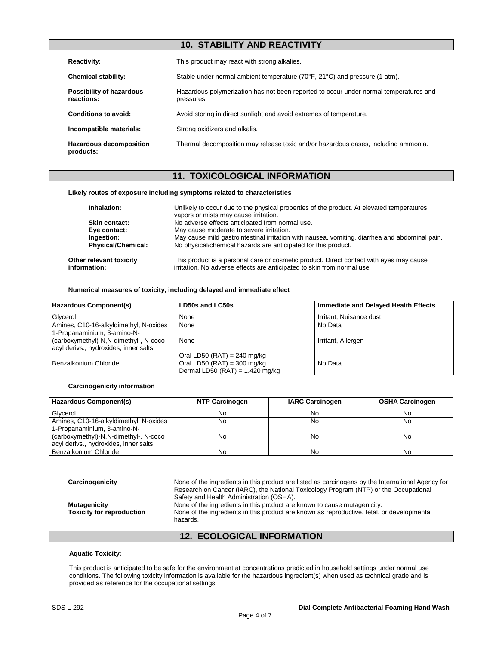# **10. STABILITY AND REACTIVITY**

| <b>Reactivity:</b>                          | This product may react with strong alkalies.                                                        |
|---------------------------------------------|-----------------------------------------------------------------------------------------------------|
| <b>Chemical stability:</b>                  | Stable under normal ambient temperature $(70^{\circ}F, 21^{\circ}C)$ and pressure (1 atm).          |
| Possibility of hazardous<br>reactions:      | Hazardous polymerization has not been reported to occur under normal temperatures and<br>pressures. |
| Conditions to avoid:                        | Avoid storing in direct sunlight and avoid extremes of temperature.                                 |
| Incompatible materials:                     | Strong oxidizers and alkalis.                                                                       |
| <b>Hazardous decomposition</b><br>products: | Thermal decomposition may release toxic and/or hazardous gases, including ammonia.                  |

# **11. TOXICOLOGICAL INFORMATION**

### **Likely routes of exposure including symptoms related to characteristics**

| Inhalation:                             | Unlikely to occur due to the physical properties of the product. At elevated temperatures,<br>vapors or mists may cause irritation.                                |
|-----------------------------------------|--------------------------------------------------------------------------------------------------------------------------------------------------------------------|
| Skin contact:                           | No adverse effects anticipated from normal use.                                                                                                                    |
| Eye contact:                            | May cause moderate to severe irritation.                                                                                                                           |
| Ingestion:                              | May cause mild gastrointestinal irritation with nausea, vomiting, diarrhea and abdominal pain.                                                                     |
| <b>Physical/Chemical:</b>               | No physical/chemical hazards are anticipated for this product.                                                                                                     |
| Other relevant toxicity<br>information: | This product is a personal care or cosmetic product. Direct contact with eyes may cause<br>irritation. No adverse effects are anticipated to skin from normal use. |

### **Numerical measures of toxicity, including delayed and immediate effect**

| Hazardous Component(s)                                                                                        | LD50s and LC50s                                                                                           | Immediate and Delayed Health Effects |
|---------------------------------------------------------------------------------------------------------------|-----------------------------------------------------------------------------------------------------------|--------------------------------------|
| Glycerol                                                                                                      | None                                                                                                      | Irritant, Nuisance dust              |
| Amines, C10-16-alkyldimethyl, N-oxides                                                                        | None                                                                                                      | No Data                              |
| 1-Propanaminium, 3-amino-N-<br>(carboxymethyl)-N,N-dimethyl-, N-coco<br>acyl derivs., hydroxides, inner salts | None                                                                                                      | Irritant, Allergen                   |
| Benzalkonium Chloride                                                                                         | Oral LD50 (RAT) = 240 mg/kg<br>Oral LD50 (RAT) = $300 \text{ mg/kg}$<br>Dermal LD50 (RAT) = $1.420$ mg/kg | No Data                              |

### **Carcinogenicity information**

| Hazardous Component(s)                                                                                        | <b>NTP Carcinogen</b> | <b>IARC Carcinogen</b> | <b>OSHA Carcinogen</b> |
|---------------------------------------------------------------------------------------------------------------|-----------------------|------------------------|------------------------|
| Glycerol                                                                                                      | No.                   | NΟ                     | No                     |
| Amines, C10-16-alkyldimethyl, N-oxides                                                                        | No                    | No                     | No                     |
| 1-Propanaminium, 3-amino-N-<br>(carboxymethyl)-N,N-dimethyl-, N-coco<br>acyl derivs., hydroxides, inner salts | No                    | No                     | No                     |
| Benzalkonium Chloride                                                                                         | No                    | No                     | No                     |

**Carcinogenicity** None of the ingredients in this product are listed as carcinogens by the International Agency for Research on Cancer (IARC), the National Toxicology Program (NTP) or the Occupational Safety and Health Administration (OSHA). **Mutagenicity**<br>**Toxicity for reproduction** Mone of the ingredients in this product are known as reproductive, fetal, (<br>Foxicity for reproduction Mone of the ingredients in this product are known as reproductive, fetal, None of the ingredients in this product are known as reproductive, fetal, or developmental hazards.

# **12. ECOLOGICAL INFORMATION**

### **Aquatic Toxicity:**

This product is anticipated to be safe for the environment at concentrations predicted in household settings under normal use conditions. The following toxicity information is available for the hazardous ingredient(s) when used as technical grade and is provided as reference for the occupational settings.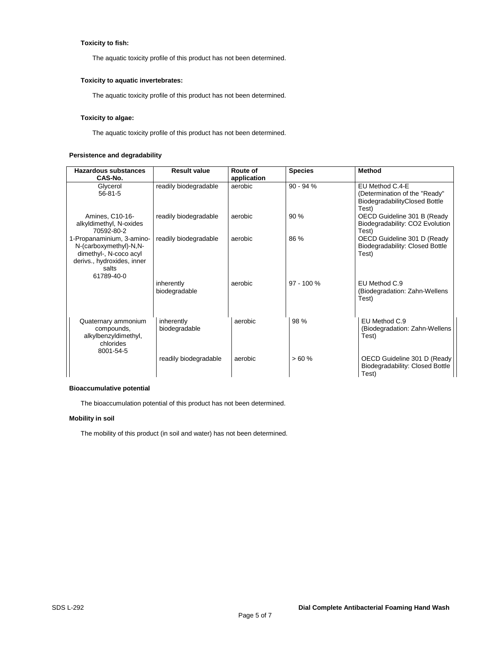## **Toxicity to fish:**

The aquatic toxicity profile of this product has not been determined.

## **Toxicity to aquatic invertebrates:**

The aquatic toxicity profile of this product has not been determined.

### **Toxicity to algae:**

The aquatic toxicity profile of this product has not been determined.

### **Persistence and degradability**

| Hazardous substances<br>CAS-No.                                                                                                    | <b>Result value</b>         | Route of<br>application | <b>Species</b> | <b>Method</b>                                                                              |
|------------------------------------------------------------------------------------------------------------------------------------|-----------------------------|-------------------------|----------------|--------------------------------------------------------------------------------------------|
| Glycerol<br>$56 - 81 - 5$                                                                                                          | readily biodegradable       | aerobic                 | $90 - 94%$     | EU Method C.4-E<br>(Determination of the "Ready"<br>BiodegradabilityClosed Bottle<br>Test) |
| Amines, C10-16-<br>alkyldimethyl, N-oxides<br>70592-80-2                                                                           | readily biodegradable       | aerobic                 | 90 %           | OECD Guideline 301 B (Ready<br>Biodegradability: CO2 Evolution<br>Test)                    |
| 1-Propanaminium, 3-amino-<br>N-(carboxymethyl)-N,N-<br>dimethyl-, N-coco acyl<br>derivs., hydroxides, inner<br>salts<br>61789-40-0 | readily biodegradable       | aerobic                 | 86 %           | OECD Guideline 301 D (Ready<br>Biodegradability: Closed Bottle<br>Test)                    |
|                                                                                                                                    | inherently<br>biodegradable | aerobic                 | $97 - 100 %$   | EU Method C.9<br>(Biodegradation: Zahn-Wellens<br>Test)                                    |
| Quaternary ammonium<br>compounds,<br>alkylbenzyldimethyl,<br>chlorides<br>8001-54-5                                                | inherently<br>biodegradable | aerobic                 | 98 %           | EU Method C.9<br>(Biodegradation: Zahn-Wellens<br>Test)                                    |
|                                                                                                                                    | readily biodegradable       | aerobic                 | >60%           | OECD Guideline 301 D (Ready<br>Biodegradability: Closed Bottle<br>Test)                    |

## **Bioaccumulative potential**

The bioaccumulation potential of this product has not been determined.

### **Mobility in soil**

The mobility of this product (in soil and water) has not been determined.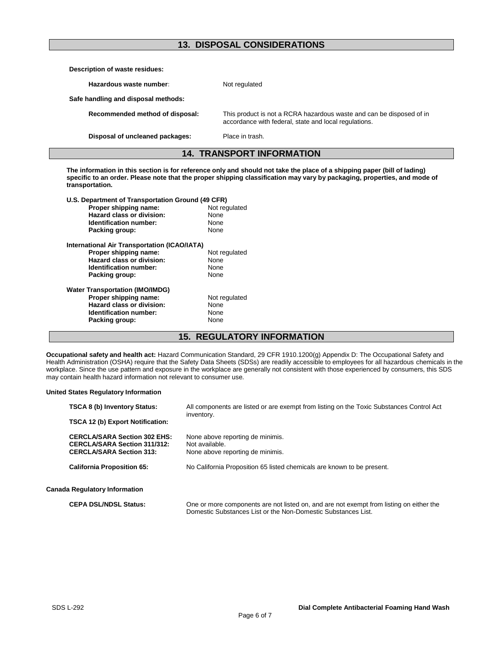# **13. DISPOSAL CONSIDERATIONS**

| Description of waste residues:                     |                                                                                                                               |
|----------------------------------------------------|-------------------------------------------------------------------------------------------------------------------------------|
| Hazardous waste number:                            | Not regulated                                                                                                                 |
| Safe handling and disposal methods:                |                                                                                                                               |
| Recommended method of disposal:                    | This product is not a RCRA hazardous waste and can be disposed of in<br>accordance with federal, state and local regulations. |
| Disposal of uncleaned packages:<br>Place in trash. |                                                                                                                               |
| <b>14. TRANSPORT INFORMATION</b>                   |                                                                                                                               |

**The information in this section is for reference only and should not take the place of a shipping paper (bill of lading) specific to an order. Please note that the proper shipping classification may vary by packaging, properties, and mode of transportation.**

| U.S. Department of Transportation Ground (49 CFR) |               |  |
|---------------------------------------------------|---------------|--|
| Proper shipping name:                             | Not regulated |  |
| Hazard class or division:                         | None          |  |
| <b>Identification number:</b>                     | None          |  |
| Packing group:                                    | None          |  |
| International Air Transportation (ICAO/IATA)      |               |  |
| Proper shipping name:                             | Not regulated |  |
| Hazard class or division:                         | None          |  |
| Identification number:                            | None          |  |
| Packing group:                                    | None          |  |
| <b>Water Transportation (IMO/IMDG)</b>            |               |  |
| Proper shipping name:                             | Not regulated |  |
| Hazard class or division:                         | None          |  |
| Identification number:                            | None          |  |
| Packing group:                                    | None          |  |
|                                                   |               |  |

# **15. REGULATORY INFORMATION**

**Occupational safety and health act:** Hazard Communication Standard, 29 CFR 1910.1200(g) Appendix D: The Occupational Safety and Health Administration (OSHA) require that the Safety Data Sheets (SDSs) are readily accessible to employees for all hazardous chemicals in the workplace. Since the use pattern and exposure in the workplace are generally not consistent with those experienced by consumers, this SDS may contain health hazard information not relevant to consumer use.

### **United States Regulatory Information**

| <b>TSCA 8 (b) Inventory Status:</b>                                                                           | All components are listed or are exempt from listing on the Toxic Substances Control Act<br>inventory. |  |
|---------------------------------------------------------------------------------------------------------------|--------------------------------------------------------------------------------------------------------|--|
| <b>TSCA 12 (b) Export Notification:</b>                                                                       |                                                                                                        |  |
| <b>CERCLA/SARA Section 302 EHS:</b><br><b>CERCLA/SARA Section 311/312:</b><br><b>CERCLA/SARA Section 313:</b> | None above reporting de minimis.<br>Not available.<br>None above reporting de minimis.                 |  |
| <b>California Proposition 65:</b>                                                                             | No California Proposition 65 listed chemicals are known to be present.                                 |  |
| <b>Canada Regulatory Information</b>                                                                          |                                                                                                        |  |
| <b>CEPA DSL/NDSL Status:</b>                                                                                  | One or more components are not listed on, and are not exempt from listing on either the                |  |

Domestic Substances List or the Non-Domestic Substances List.